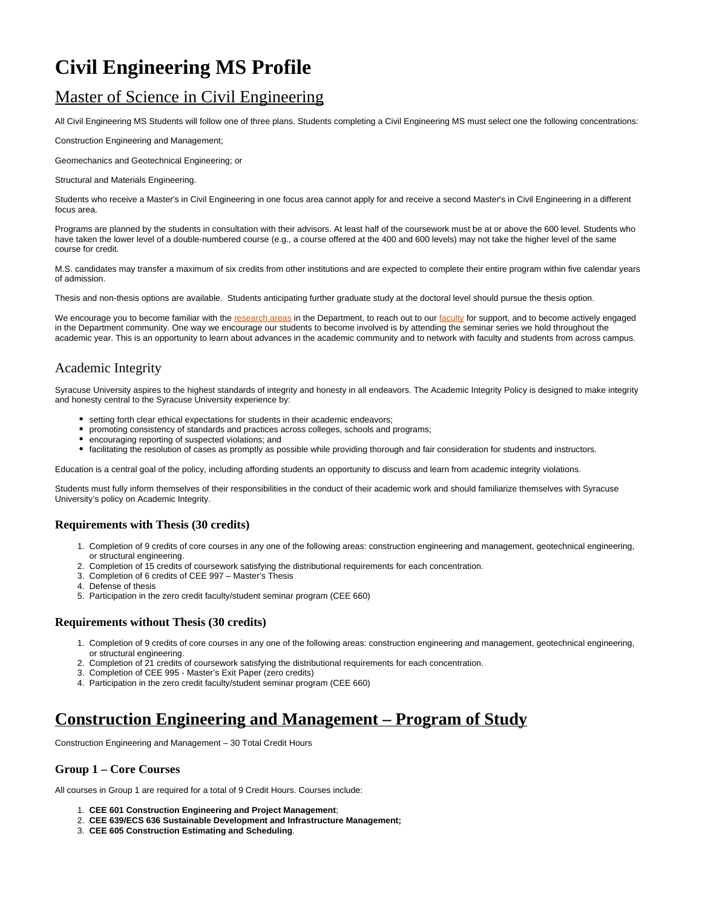# **Civil Engineering MS Profile**

# Master of Science in Civil Engineering

All Civil Engineering MS Students will follow one of three plans. Students completing a Civil Engineering MS must select one the following concentrations:

Construction Engineering and Management;

Geomechanics and Geotechnical Engineering; or

Structural and Materials Engineering.

Students who receive a Master's in Civil Engineering in one focus area cannot apply for and receive a second Master's in Civil Engineering in a different focus area.

Programs are planned by the students in consultation with their advisors. At least half of the coursework must be at or above the 600 level. Students who have taken the lower level of a double-numbered course (e.g., a course offered at the 400 and 600 levels) may not take the higher level of the same course for credit.

M.S. candidates may transfer a maximum of six credits from other institutions and are expected to complete their entire program within five calendar years of admission.

Thesis and non-thesis options are available. Students anticipating further graduate study at the doctoral level should pursue the thesis option.

We encourage you to become familiar with the [research areas](https://ecs.syracuse.edu/academics/civil-and-environmental-engineering/research) in the Department, to reach out to our [faculty](https://ecs.syracuse.edu/faculty-staff/?category=civil-and-environmental-engineering&people=&redirect) for support, and to become actively engaged in the Department community. One way we encourage our students to become involved is by attending the seminar series we hold throughout the academic year. This is an opportunity to learn about advances in the academic community and to network with faculty and students from across campus.

### Academic Integrity

Syracuse University aspires to the highest standards of integrity and honesty in all endeavors. The Academic Integrity Policy is designed to make integrity and honesty central to the Syracuse University experience by:

- setting forth clear ethical expectations for students in their academic endeavors;
- promoting consistency of standards and practices across colleges, schools and programs;
- encouraging reporting of suspected violations; and
- facilitating the resolution of cases as promptly as possible while providing thorough and fair consideration for students and instructors.

Education is a central goal of the policy, including affording students an opportunity to discuss and learn from academic integrity violations.

Students must fully inform themselves of their responsibilities in the conduct of their academic work and should familiarize themselves with Syracuse University's policy on Academic Integrity.

### **Requirements with Thesis (30 credits)**

- 1. Completion of 9 credits of core courses in any one of the following areas: construction engineering and management, geotechnical engineering, or structural engineering.
- 2. Completion of 15 credits of coursework satisfying the distributional requirements for each concentration.
- 3. Completion of 6 credits of CEE 997 Master's Thesis
- 4. Defense of thesis
- 5. Participation in the zero credit faculty/student seminar program (CEE 660)

### **Requirements without Thesis (30 credits)**

- 1. Completion of 9 credits of core courses in any one of the following areas: construction engineering and management, geotechnical engineering, or structural engineering.
- 2. Completion of 21 credits of coursework satisfying the distributional requirements for each concentration.
- 3. Completion of CEE 995 Master's Exit Paper (zero credits)
- 4. Participation in the zero credit faculty/student seminar program (CEE 660)

# **Construction Engineering and Management – Program of Study**

Construction Engineering and Management – 30 Total Credit Hours

### **Group 1 – Core Courses**

All courses in Group 1 are required for a total of 9 Credit Hours. Courses include:

- 1. **CEE 601 Construction Engineering and Project Management**;
- 2. **CEE 639/ECS 636 Sustainable Development and Infrastructure Management;**
- 3. **CEE 605 Construction Estimating and Scheduling**.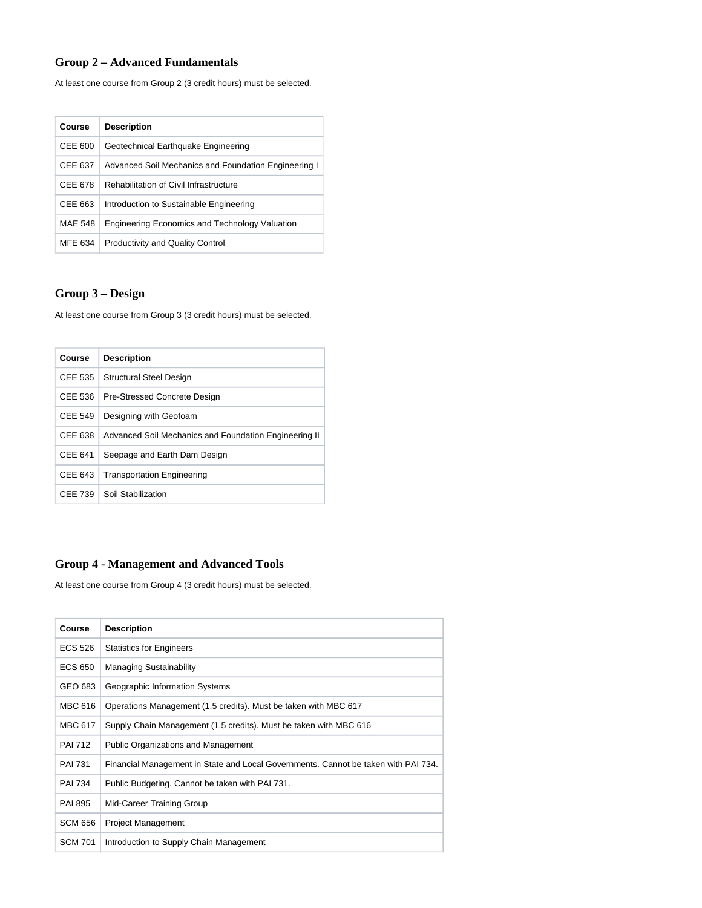### **Group 2 – Advanced Fundamentals**

At least one course from Group 2 (3 credit hours) must be selected.

| Course  | <b>Description</b>                                    |
|---------|-------------------------------------------------------|
| CEE 600 | Geotechnical Earthquake Engineering                   |
| CEE 637 | Advanced Soil Mechanics and Foundation Engineering I  |
| CEE 678 | <b>Rehabilitation of Civil Infrastructure</b>         |
| CEE 663 | Introduction to Sustainable Engineering               |
| MAE 548 | <b>Engineering Economics and Technology Valuation</b> |
| MFE 634 | <b>Productivity and Quality Control</b>               |

## **Group 3 – Design**

At least one course from Group 3 (3 credit hours) must be selected.

| Course                                       | <b>Description</b>                                    |
|----------------------------------------------|-------------------------------------------------------|
| CEE 535                                      | Structural Steel Design                               |
| CEE 536                                      | Pre-Stressed Concrete Design                          |
| CEE 549                                      | Designing with Geofoam                                |
| CEE 638                                      | Advanced Soil Mechanics and Foundation Engineering II |
| CEE 641                                      | Seepage and Earth Dam Design                          |
| CEE 643<br><b>Transportation Engineering</b> |                                                       |
| CEE 739                                      | Soil Stabilization                                    |

### **Group 4 - Management and Advanced Tools**

At least one course from Group 4 (3 credit hours) must be selected.

| Course         | <b>Description</b>                                                                 |
|----------------|------------------------------------------------------------------------------------|
| ECS 526        | <b>Statistics for Engineers</b>                                                    |
| ECS 650        | <b>Managing Sustainability</b>                                                     |
| GEO 683        | Geographic Information Systems                                                     |
| <b>MBC 616</b> | Operations Management (1.5 credits). Must be taken with MBC 617                    |
| MBC 617        | Supply Chain Management (1.5 credits). Must be taken with MBC 616                  |
| <b>PAI 712</b> | <b>Public Organizations and Management</b>                                         |
| <b>PAI 731</b> | Financial Management in State and Local Governments. Cannot be taken with PAI 734. |
| <b>PAI 734</b> | Public Budgeting. Cannot be taken with PAI 731.                                    |
| <b>PAI 895</b> | Mid-Career Training Group                                                          |
| <b>SCM 656</b> | <b>Project Management</b>                                                          |
| <b>SCM 701</b> | Introduction to Supply Chain Management                                            |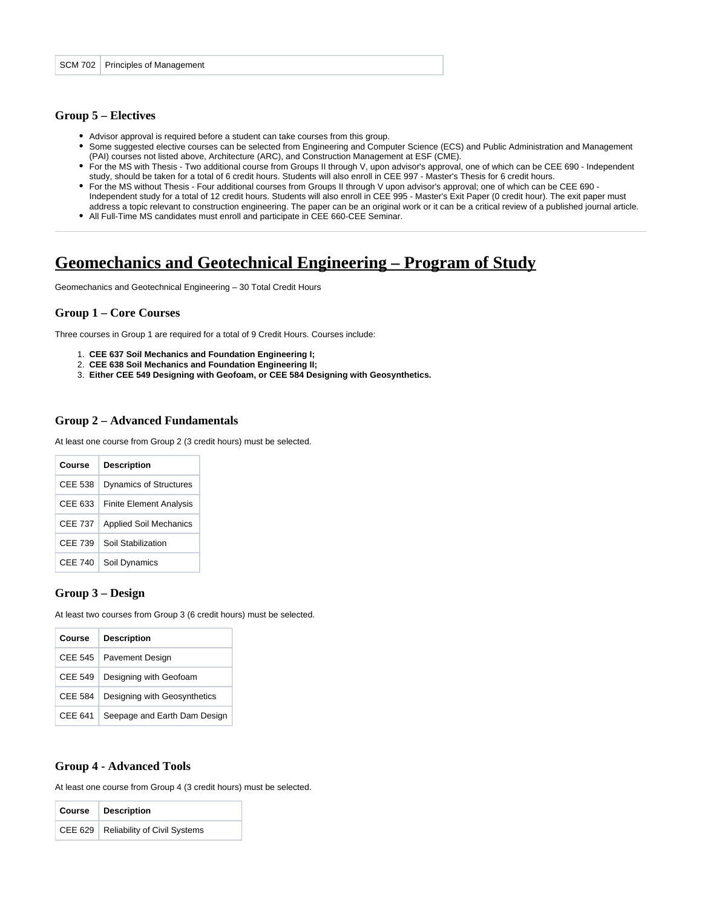#### **Group 5 – Electives**

- Advisor approval is required before a student can take courses from this group.
- Some suggested elective courses can be selected from Engineering and Computer Science (ECS) and Public Administration and Management (PAI) courses not listed above, Architecture (ARC), and Construction Management at ESF (CME).
- For the MS with Thesis Two additional course from Groups II through V, upon advisor's approval, one of which can be CEE 690 Independent study, should be taken for a total of 6 credit hours. Students will also enroll in CEE 997 - Master's Thesis for 6 credit hours.
- For the MS without Thesis Four additional courses from Groups II through V upon advisor's approval; one of which can be CEE 690 Independent study for a total of 12 credit hours. Students will also enroll in CEE 995 - Master's Exit Paper (0 credit hour). The exit paper must address a topic relevant to construction engineering. The paper can be an original work or it can be a critical review of a published journal article.
- All Full-Time MS candidates must enroll and participate in CEE 660-CEE Seminar.

# **Geomechanics and Geotechnical Engineering – Program of Study**

Geomechanics and Geotechnical Engineering – 30 Total Credit Hours

#### **Group 1 – Core Courses**

Three courses in Group 1 are required for a total of 9 Credit Hours. Courses include:

- 1. **CEE 637 Soil Mechanics and Foundation Engineering I;**
- 2. **CEE 638 Soil Mechanics and Foundation Engineering II;**
- 3. **Either CEE 549 Designing with Geofoam, or CEE 584 Designing with Geosynthetics.**

### **Group 2 – Advanced Fundamentals**

At least one course from Group 2 (3 credit hours) must be selected.

| Course  | <b>Description</b>             |
|---------|--------------------------------|
| CEE 538 | <b>Dynamics of Structures</b>  |
| CEE 633 | <b>Finite Element Analysis</b> |
| CEE 737 | <b>Applied Soil Mechanics</b>  |
| CFF 739 | Soil Stabilization             |
| CEE 740 | Soil Dynamics                  |

#### **Group 3 – Design**

At least two courses from Group 3 (6 credit hours) must be selected.

| Course         | <b>Description</b>           |
|----------------|------------------------------|
| CFF 545        | <b>Pavement Design</b>       |
| <b>CEE 549</b> | Designing with Geofoam       |
| CEE 584        | Designing with Geosynthetics |
| CEE 641        | Seepage and Earth Dam Design |

#### **Group 4 - Advanced Tools**

At least one course from Group 4 (3 credit hours) must be selected.

| Course   Description                   |
|----------------------------------------|
| CEE 629   Reliability of Civil Systems |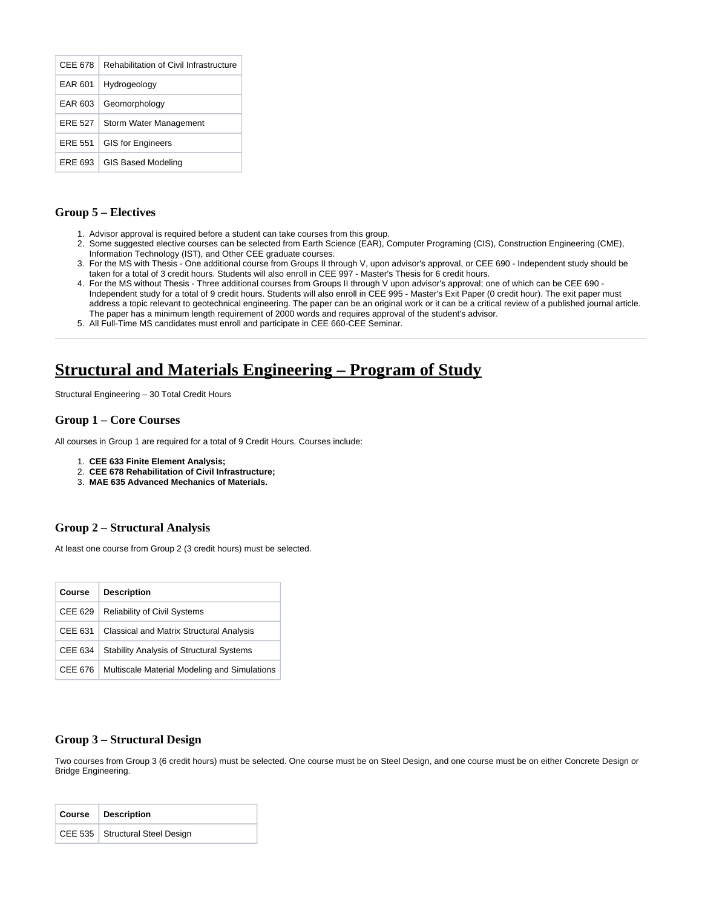| CFF 678 | <b>Rehabilitation of Civil Infrastructure</b> |
|---------|-----------------------------------------------|
| EAR 601 | Hydrogeology                                  |
| EAR 603 | Geomorphology                                 |
| FRF 527 | Storm Water Management                        |
| FRF 551 | <b>GIS for Engineers</b>                      |
| FRE 693 | <b>GIS Based Modeling</b>                     |

### **Group 5 – Electives**

- 1. Advisor approval is required before a student can take courses from this group.
- 2. Some suggested elective courses can be selected from Earth Science (EAR), Computer Programing (CIS), Construction Engineering (CME), Information Technology (IST), and Other CEE graduate courses.
- 3. For the MS with Thesis One additional course from Groups II through V, upon advisor's approval, or CEE 690 Independent study should be taken for a total of 3 credit hours. Students will also enroll in CEE 997 - Master's Thesis for 6 credit hours.
- 4. For the MS without Thesis Three additional courses from Groups II through V upon advisor's approval; one of which can be CEE 690 Independent study for a total of 9 credit hours. Students will also enroll in CEE 995 - Master's Exit Paper (0 credit hour). The exit paper must address a topic relevant to geotechnical engineering. The paper can be an original work or it can be a critical review of a published journal article. The paper has a minimum length requirement of 2000 words and requires approval of the student's advisor.
- 5. All Full-Time MS candidates must enroll and participate in CEE 660-CEE Seminar.

# **Structural and Materials Engineering – Program of Study**

Structural Engineering – 30 Total Credit Hours

### **Group 1 – Core Courses**

All courses in Group 1 are required for a total of 9 Credit Hours. Courses include:

- 1. **CEE 633 Finite Element Analysis;**
- 2. **CEE 678 Rehabilitation of Civil Infrastructure;**
- 3. **MAE 635 Advanced Mechanics of Materials.**

### **Group 2 – Structural Analysis**

At least one course from Group 2 (3 credit hours) must be selected.

| Course  | <b>Description</b>                              |
|---------|-------------------------------------------------|
| CEE 629 | <b>Reliability of Civil Systems</b>             |
| CEE 631 | Classical and Matrix Structural Analysis        |
| CEE 634 | <b>Stability Analysis of Structural Systems</b> |
| CEE 676 | Multiscale Material Modeling and Simulations    |

### **Group 3 – Structural Design**

Two courses from Group 3 (6 credit hours) must be selected. One course must be on Steel Design, and one course must be on either Concrete Design or Bridge Engineering.

| Course   Description              |
|-----------------------------------|
| CEE 535   Structural Steel Design |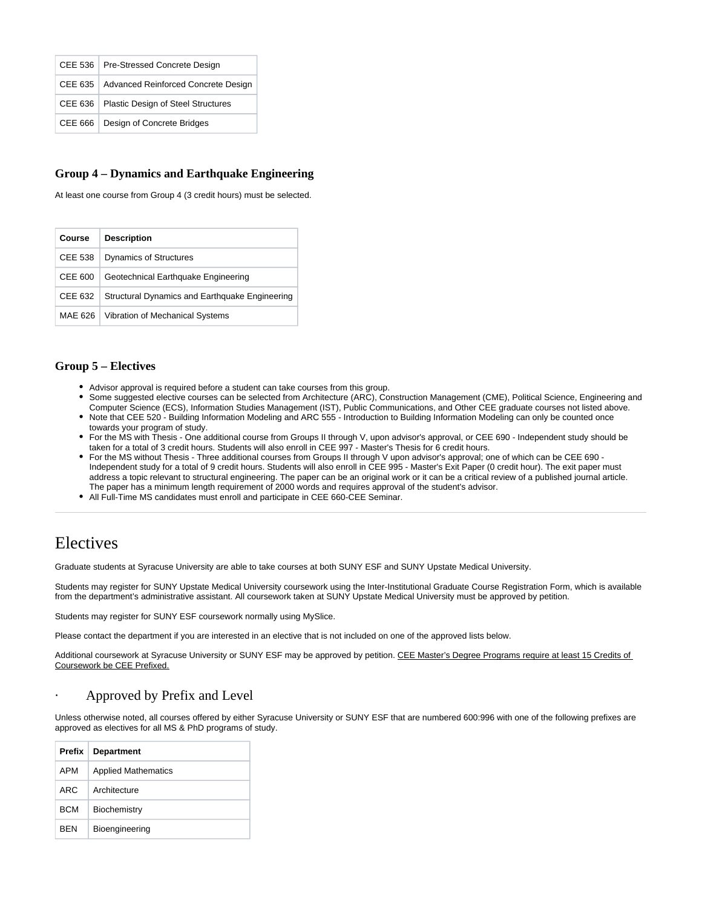|  | CEE 536   Pre-Stressed Concrete Design        |
|--|-----------------------------------------------|
|  | CEE 635   Advanced Reinforced Concrete Design |
|  | CEE 636   Plastic Design of Steel Structures  |
|  | CEE 666   Design of Concrete Bridges          |

### **Group 4 – Dynamics and Earthquake Engineering**

At least one course from Group 4 (3 credit hours) must be selected.

| Course         | <b>Description</b>                             |
|----------------|------------------------------------------------|
| <b>CEE 538</b> | <b>Dynamics of Structures</b>                  |
| CEE 600        | Geotechnical Earthquake Engineering            |
| CEE 632        | Structural Dynamics and Earthquake Engineering |
| MAE 626        | Vibration of Mechanical Systems                |

### **Group 5 – Electives**

- Advisor approval is required before a student can take courses from this group.
- Some suggested elective courses can be selected from Architecture (ARC), Construction Management (CME), Political Science, Engineering and Computer Science (ECS), Information Studies Management (IST), Public Communications, and Other CEE graduate courses not listed above.
- Note that CEE 520 Building Information Modeling and ARC 555 Introduction to Building Information Modeling can only be counted once towards your program of study.
- For the MS with Thesis One additional course from Groups II through V, upon advisor's approval, or CEE 690 Independent study should be taken for a total of 3 credit hours. Students will also enroll in CEE 997 - Master's Thesis for 6 credit hours.
- For the MS without Thesis Three additional courses from Groups II through V upon advisor's approval; one of which can be CEE 690 Independent study for a total of 9 credit hours. Students will also enroll in CEE 995 - Master's Exit Paper (0 credit hour). The exit paper must address a topic relevant to structural engineering. The paper can be an original work or it can be a critical review of a published journal article. The paper has a minimum length requirement of 2000 words and requires approval of the student's advisor.
- All Full-Time MS candidates must enroll and participate in CEE 660-CEE Seminar.

# Electives

Graduate students at Syracuse University are able to take courses at both SUNY ESF and SUNY Upstate Medical University.

Students may register for SUNY Upstate Medical University coursework using the Inter-Institutional Graduate Course Registration Form, which is available from the department's administrative assistant. All coursework taken at SUNY Upstate Medical University must be approved by petition.

Students may register for SUNY ESF coursework normally using MySlice.

Please contact the department if you are interested in an elective that is not included on one of the approved lists below.

Additional coursework at Syracuse University or SUNY ESF may be approved by petition. CEE Master's Degree Programs require at least 15 Credits of Coursework be CEE Prefixed.

### Approved by Prefix and Level

Unless otherwise noted, all courses offered by either Syracuse University or SUNY ESF that are numbered 600:996 with one of the following prefixes are approved as electives for all MS & PhD programs of study.

| Prefix     | <b>Department</b>          |
|------------|----------------------------|
| APM        | <b>Applied Mathematics</b> |
| ARC.       | Architecture               |
| <b>BCM</b> | Biochemistry               |
| BFN        | Bioengineering             |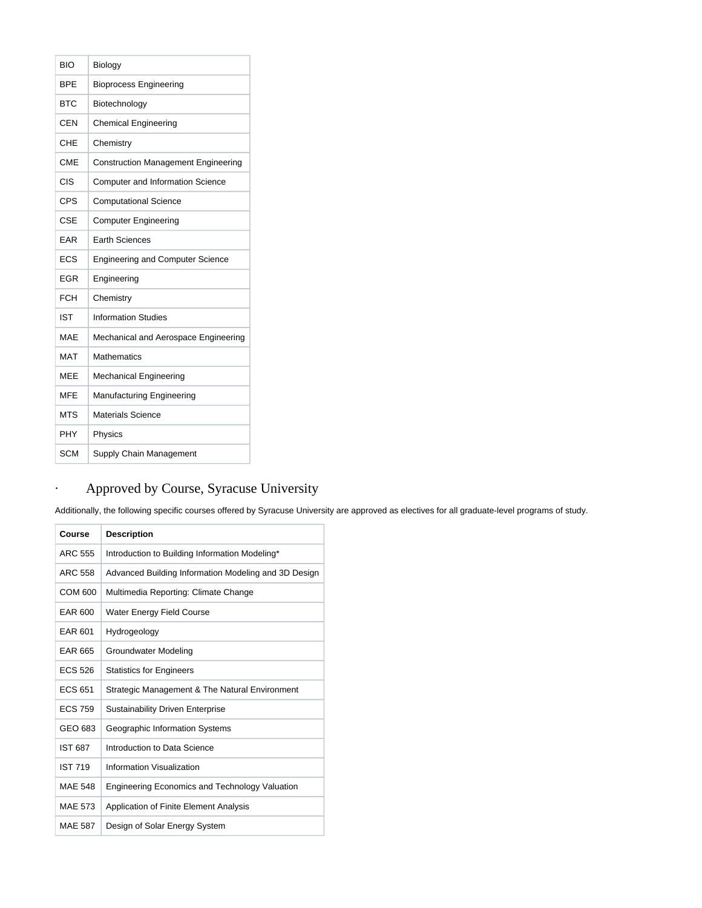| BIO        | Biology                                    |
|------------|--------------------------------------------|
| RPF        | <b>Bioprocess Engineering</b>              |
| <b>BTC</b> | Biotechnology                              |
| <b>CEN</b> | <b>Chemical Engineering</b>                |
| CHE        | Chemistry                                  |
| <b>CME</b> | <b>Construction Management Engineering</b> |
| CIS        | <b>Computer and Information Science</b>    |
| CPS        | <b>Computational Science</b>               |
| <b>CSE</b> | <b>Computer Engineering</b>                |
| FAR        | <b>Earth Sciences</b>                      |
| ECS        | <b>Engineering and Computer Science</b>    |
| EGR        | Engineering                                |
| <b>FCH</b> | Chemistry                                  |
| <b>IST</b> | <b>Information Studies</b>                 |
| MAF        | Mechanical and Aerospace Engineering       |
| MAT        | Mathematics                                |
| MFF        | <b>Mechanical Engineering</b>              |
| <b>MFE</b> | Manufacturing Engineering                  |
| <b>MTS</b> | Materials Science                          |
| PHY        | Physics                                    |
| SCM        | Supply Chain Management                    |

# · Approved by Course, Syracuse University

Additionally, the following specific courses offered by Syracuse University are approved as electives for all graduate-level programs of study.

| Course         | <b>Description</b>                                    |
|----------------|-------------------------------------------------------|
| ARC 555        | Introduction to Building Information Modeling*        |
| ARC 558        | Advanced Building Information Modeling and 3D Design  |
| COM 600        | Multimedia Reporting: Climate Change                  |
| EAR 600        | <b>Water Energy Field Course</b>                      |
| EAR 601        | Hydrogeology                                          |
| EAR 665        | Groundwater Modeling                                  |
| <b>ECS 526</b> | <b>Statistics for Engineers</b>                       |
| <b>ECS 651</b> | Strategic Management & The Natural Environment        |
| <b>ECS 759</b> | <b>Sustainability Driven Enterprise</b>               |
| GEO 683        | Geographic Information Systems                        |
| <b>IST 687</b> | Introduction to Data Science                          |
| <b>IST 719</b> | Information Visualization                             |
| <b>MAE 548</b> | <b>Engineering Economics and Technology Valuation</b> |
| <b>MAE 573</b> | Application of Finite Element Analysis                |
| <b>MAE 587</b> | Design of Solar Energy System                         |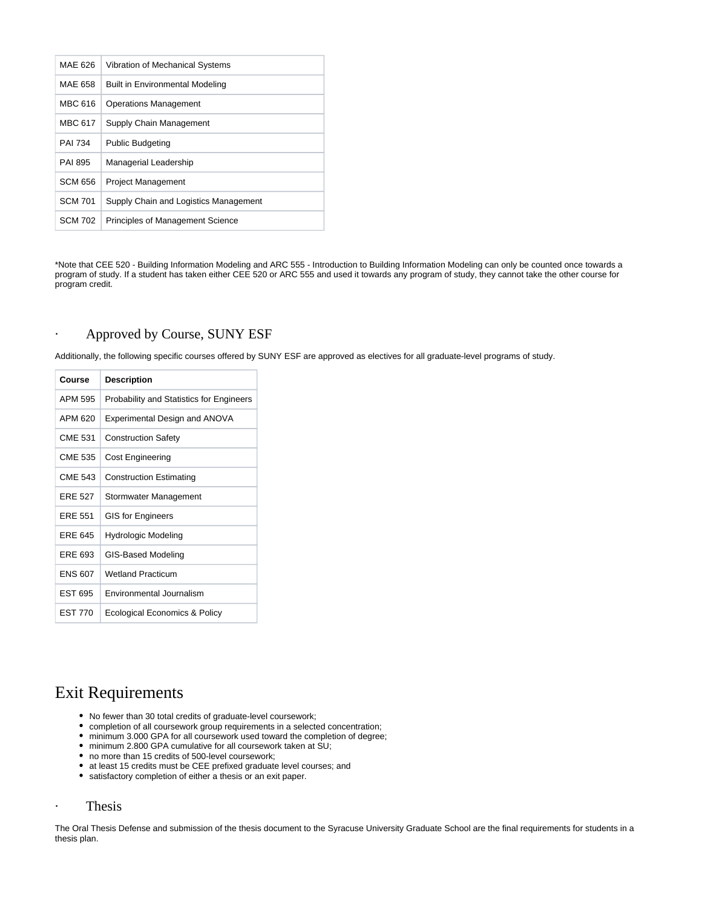| MAE 626        | Vibration of Mechanical Systems        |
|----------------|----------------------------------------|
| MAE 658        | <b>Built in Environmental Modeling</b> |
| <b>MBC 616</b> | <b>Operations Management</b>           |
| <b>MBC 617</b> | Supply Chain Management                |
| <b>PAI 734</b> | <b>Public Budgeting</b>                |
| PAI 895        | Managerial Leadership                  |
| <b>SCM 656</b> | <b>Project Management</b>              |
| <b>SCM 701</b> | Supply Chain and Logistics Management  |
| SCM 702        | Principles of Management Science       |

\*Note that CEE 520 - Building Information Modeling and ARC 555 - Introduction to Building Information Modeling can only be counted once towards a program of study. If a student has taken either CEE 520 or ARC 555 and used it towards any program of study, they cannot take the other course for program credit.

### · Approved by Course, SUNY ESF

Additionally, the following specific courses offered by SUNY ESF are approved as electives for all graduate-level programs of study.

| Course         | <b>Description</b>                       |
|----------------|------------------------------------------|
| APM 595        | Probability and Statistics for Engineers |
| APM 620        | Experimental Design and ANOVA            |
| <b>CME 531</b> | <b>Construction Safety</b>               |
| CME 535        | Cost Engineering                         |
| <b>CME 543</b> | <b>Construction Estimating</b>           |
| <b>FRF 527</b> | Stormwater Management                    |
| FRF 551        | <b>GIS for Engineers</b>                 |
| <b>FRF 645</b> | Hydrologic Modeling                      |
| FRF 693        | GIS-Based Modeling                       |
| <b>FNS 607</b> | <b>Wetland Practicum</b>                 |
| <b>FST 695</b> | Environmental Journalism                 |
| <b>FST 770</b> | Ecological Economics & Policy            |

# Exit Requirements

- No fewer than 30 total credits of graduate-level coursework;
- completion of all coursework group requirements in a selected concentration;
- $\bullet$  minimum 3.000 GPA for all coursework used toward the completion of degree;
- minimum 2.800 GPA cumulative for all coursework taken at SU;
- no more than 15 credits of 500-level coursework;
- at least 15 credits must be CEE prefixed graduate level courses; and
- satisfactory completion of either a thesis or an exit paper.

### · Thesis

The Oral Thesis Defense and submission of the thesis document to the Syracuse University Graduate School are the final requirements for students in a thesis plan.